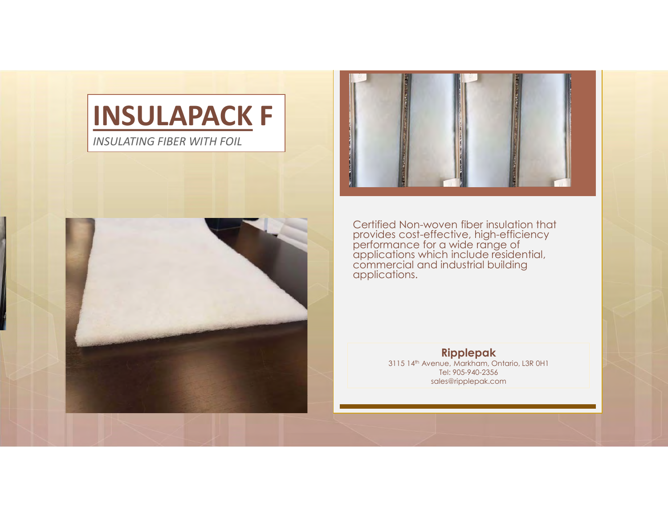INSULATING FIBER WITH FOIL





Certified Non-woven fiber insulation that provides cost-effective, high-efficiency<br>performance for a wide range of<br>applications which include residential, commercial and industrial building<br>applications.

## Ripplepak

3115 14th Avenue, Markham, Ontario, L3R 0H1 Tel: 905-940-2356 sales@ripplepak.com